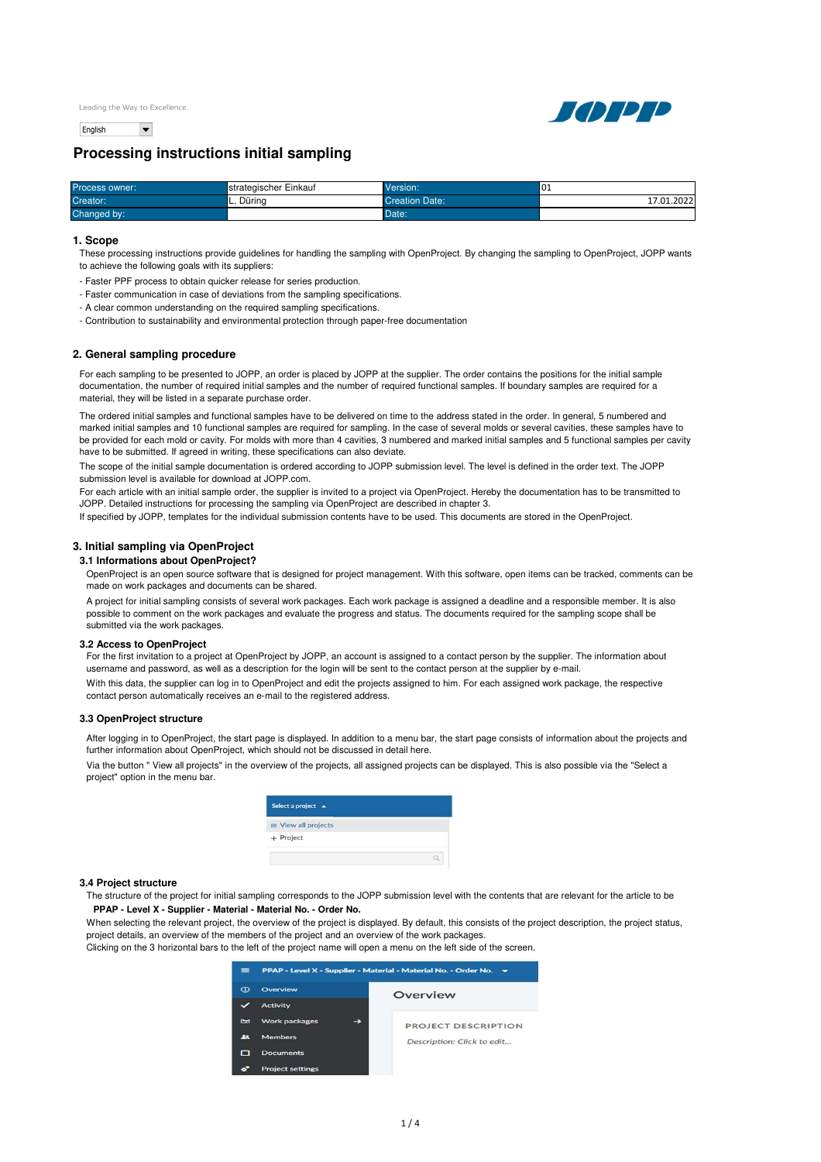English  $\overline{\phantom{0}}$ 



# **Processing instructions initial sampling**

| Process owner: | strategischer Einkauf | Version:       | $\sim$<br>UÏ |
|----------------|-----------------------|----------------|--------------|
| Creator:       | L. Dürina             | Creation Date: | 17.01.2022   |
| Changed by:    |                       | Date:          |              |

#### **1. Scope**

These processing instructions provide guidelines for handling the sampling with OpenProject. By changing the sampling to OpenProject, JOPP wants to achieve the following goals with its suppliers:

- Faster PPF process to obtain quicker release for series production.
- Faster communication in case of deviations from the sampling specifications.
- A clear common understanding on the required sampling specifications.
- Contribution to sustainability and environmental protection through paper-free documentation

# **2. General sampling procedure**

For each sampling to be presented to JOPP, an order is placed by JOPP at the supplier. The order contains the positions for the initial sample documentation, the number of required initial samples and the number of required functional samples. If boundary samples are required for a material, they will be listed in a separate purchase order.

The ordered initial samples and functional samples have to be delivered on time to the address stated in the order. In general, 5 numbered and marked initial samples and 10 functional samples are required for sampling. In the case of several molds or several cavities, these samples have to be provided for each mold or cavity. For molds with more than 4 cavities, 3 numbered and marked initial samples and 5 functional samples per cavity have to be submitted. If agreed in writing, these specifications can also deviate.

The scope of the initial sample documentation is ordered according to JOPP submission level. The level is defined in the order text. The JOPP submission level is available for download at JOPP.com.

For each article with an initial sample order, the supplier is invited to a project via OpenProject. Hereby the documentation has to be transmitted to JOPP. Detailed instructions for processing the sampling via OpenProject are described in chapter 3.

If specified by JOPP, templates for the individual submission contents have to be used. This documents are stored in the OpenProject.

# **3. Initial sampling via OpenProject**

#### **3.1 Informations about OpenProject?**

OpenProject is an open source software that is designed for project management. With this software, open items can be tracked, comments can be made on work packages and documents can be shared.

A project for initial sampling consists of several work packages. Each work package is assigned a deadline and a responsible member. It is also possible to comment on the work packages and evaluate the progress and status. The documents required for the sampling scope shall be submitted via the work packages.

### **3.2 Access to OpenProject**

For the first invitation to a project at OpenProject by JOPP, an account is assigned to a contact person by the supplier. The information about username and password, as well as a description for the login will be sent to the contact person at the supplier by e-mail.

With this data, the supplier can log in to OpenProject and edit the projects assigned to him. For each assigned work package, the respective contact person automatically receives an e-mail to the registered address.

#### **3.3 OpenProject structure**

After logging in to OpenProject, the start page is displayed. In addition to a menu bar, the start page consists of information about the projects and further information about OpenProject, which should not be discussed in detail here.

Via the button " View all projects" in the overview of the projects, all assigned projects can be displayed. This is also possible via the "Select a project" option in the menu bar.

| Select a project A         |  |
|----------------------------|--|
| <b>■ View all projects</b> |  |
| + Project                  |  |

## **3.4 Project structure**

The structure of the project for initial sampling corresponds to the JOPP submission level with the contents that are relevant for the article to be PPAP - Level X - Supplier - Material - Material No. - Order No.

When selecting the relevant project, the overview of the project is displayed. By default, this consists of the project description, the project status, project details, an overview of the members of the project and an overview of the work packages.

Clicking on the 3 horizontal bars to the left of the project name will open a menu on the left side of the screen.

| $=$        | PPAP - Level X - Supplier - Material - Material No. - Order No. |                            |  |
|------------|-----------------------------------------------------------------|----------------------------|--|
| $\Omega$   | Overview                                                        | Overview                   |  |
|            | <b>Activity</b>                                                 |                            |  |
| <b>Ext</b> | <b>Work packages</b><br>→                                       | PROJECT DESCRIPTION        |  |
| 土土         | <b>Members</b>                                                  | Description: Click to edit |  |
|            | <b>Documents</b>                                                |                            |  |
|            | <b>Project settings</b>                                         |                            |  |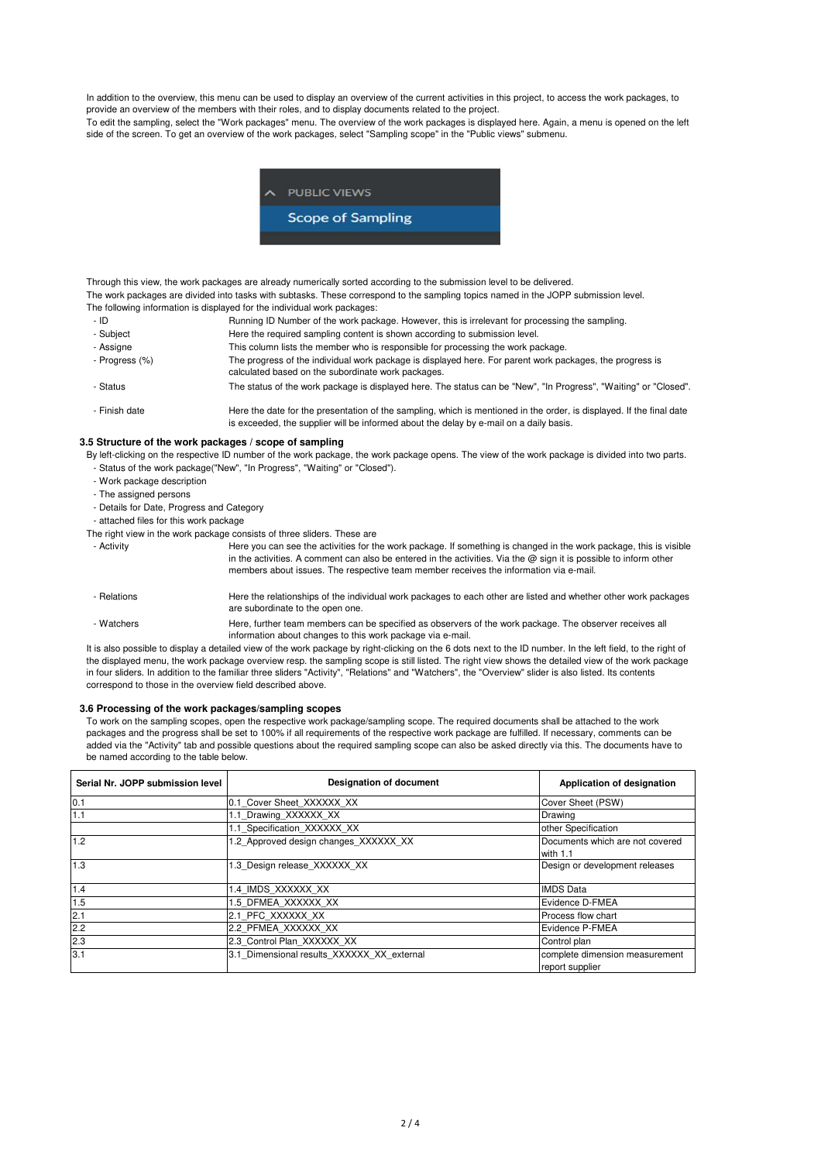In addition to the overview, this menu can be used to display an overview of the current activities in this project, to access the work packages, to provide an overview of the members with their roles, and to display documents related to the project.

To edit the sampling, select the "Work packages" menu. The overview of the work packages is displayed here. Again, a menu is opened on the left side of the screen. To get an overview of the work packages, select "Sampling scope" in the "Public views" submenu.



Through this view, the work packages are already numerically sorted according to the submission level to be delivered. The following information is displayed for the individual work packages: The work packages are divided into tasks with subtasks. These correspond to the sampling topics named in the JOPP submission level.

- ID - Subject - Assigne - Progress (%) - Status - Finish date Running ID Number of the work package. However, this is irrelevant for processing the sampling. Here the required sampling content is shown according to submission level. This column lists the member who is responsible for processing the work package. The progress of the individual work package is displayed here. For parent work packages, the progress is calculated based on the subordinate work packages. The status of the work package is displayed here. The status can be "New", "In Progress", "Waiting" or "Closed". Here the date for the presentation of the sampling, which is mentioned in the order, is displayed. If the final date is exceeded, the supplier will be informed about the delay by e-mail on a daily basis.

## **3.5 Structure of the work packages / scope of sampling**

By left-clicking on the respective ID number of the work package, the work package opens. The view of the work package is divided into two parts.

- Status of the work package("New", "In Progress", "Waiting" or "Closed").
- Work package description
- The assigned persons
- Details for Date, Progress and Category
- attached files for this work package

The right view in the work package consists of three sliders. These are

- Activity - Relations Here you can see the activities for the work package. If something is changed in the work package, this is visible in the activities. A comment can also be entered in the activities. Via the  $\bar{\omega}$  sign it is possible to inform other members about issues. The respective team member receives the information via e-mail. Here the relationships of the individual work packages to each other are listed and whether other work packages

- Watchers are subordinate to the open one. Here, further team members can be specified as observers of the work package. The observer receives all
	- information about changes to this work package via e-mail.

It is also possible to display a detailed view of the work package by right-clicking on the 6 dots next to the ID number. In the left field, to the right of the displayed menu, the work package overview resp. the sampling scope is still listed. The right view shows the detailed view of the work package in four sliders. In addition to the familiar three sliders "Activity", "Relations" and "Watchers", the "Overview" slider is also listed. Its contents correspond to those in the overview field described above.

## **3.6 Processing of the work packages/sampling scopes**

To work on the sampling scopes, open the respective work package/sampling scope. The required documents shall be attached to the work packages and the progress shall be set to 100% if all requirements of the respective work package are fulfilled. If necessary, comments can be added via the "Activity" tab and possible questions about the required sampling scope can also be asked directly via this. The documents have to be named according to the table below.

| Serial Nr. JOPP submission level | <b>Designation of document</b>             | Application of designation                        |
|----------------------------------|--------------------------------------------|---------------------------------------------------|
| 0.1                              | 0.1 Cover Sheet XXXXXX XX                  | Cover Sheet (PSW)                                 |
| 1.1                              | 1.1 Drawing XXXXXX XX                      | Drawing                                           |
|                                  | 1.1 Specification XXXXXX XX                | other Specification                               |
| 1.2                              | 1.2 Approved design changes XXXXXX XX      | Documents which are not covered<br>with $1.1$     |
| 1.3                              | 1.3 Design release XXXXXX XX               | Design or development releases                    |
| 1.4                              | 1.4 IMDS XXXXXX XX                         | <b>IMDS</b> Data                                  |
| 1.5                              | 1.5 DFMEA XXXXXX XX                        | Evidence D-FMEA                                   |
| 2.1                              | 2.1 PFC XXXXXX XX                          | Process flow chart                                |
| 2.2                              | 2.2 PFMEA XXXXXX XX                        | Evidence P-FMEA                                   |
| 2.3                              | 2.3 Control Plan XXXXXX XX                 | Control plan                                      |
| 3.1                              | 3.1 Dimensional results XXXXXX XX external | complete dimension measurement<br>report supplier |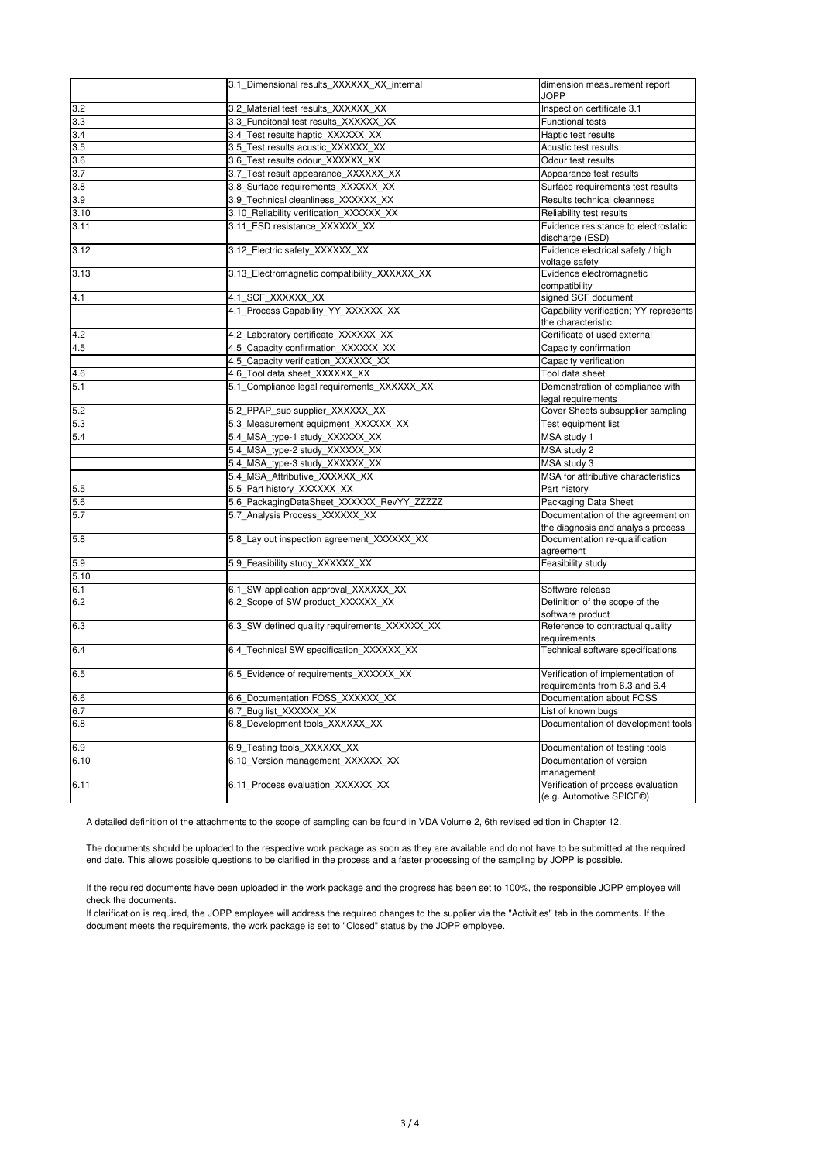|      | 3.1 Dimensional results XXXXXX XX internal    | dimension measurement report<br>JOPP                                    |
|------|-----------------------------------------------|-------------------------------------------------------------------------|
| 3.2  | 3.2 Material test results XXXXXX XX           | Inspection certificate 3.1                                              |
| 3.3  | 3.3 Funcitonal test results XXXXXX XX         | Functional tests                                                        |
| 3.4  | 3.4_Test results haptic_XXXXXX_XX             | Haptic test results                                                     |
| 3.5  | 3.5 Test results acustic XXXXXX XX            | Acustic test results                                                    |
| 3.6  | 3.6_Test results odour_XXXXXX_XX              | Odour test results                                                      |
| 3.7  | 3.7_Test result appearance_XXXXXX_XX          | Appearance test results                                                 |
| 3.8  | 3.8 Surface requirements XXXXXX XX            | Surface requirements test results                                       |
| 3.9  | 3.9_Technical cleanliness_XXXXXX_XX           | Results technical cleanness                                             |
| 3.10 | 3.10_Reliability verification_XXXXXX_XX       | Reliability test results                                                |
| 3.11 | 3.11 ESD resistance XXXXXX XX                 | Evidence resistance to electrostatic<br>discharge (ESD)                 |
| 3.12 | 3.12 Electric safety XXXXXX XX                | Evidence electrical safety / high<br>voltage safety                     |
| 3.13 | 3.13 Electromagnetic compatibility XXXXXX XX  | Evidence electromagnetic<br>compatibility                               |
| 4.1  | 4.1_SCF_XXXXXX_XX                             | signed SCF document                                                     |
|      | 4.1 Process Capability YY XXXXXX XX           | Capability verification; YY represents<br>the characteristic            |
| 4.2  | 4.2_Laboratory certificate_XXXXXX_XX          | Certificate of used external                                            |
| 4.5  | 4.5_Capacity confirmation_XXXXXX_XX           | Capacity confirmation                                                   |
|      | 4.5 Capacity verification XXXXXX XX           | Capacity verification                                                   |
| 4.6  | 4.6_Tool data sheet_XXXXXX_XX                 | Tool data sheet                                                         |
| 5.1  | 5.1_Compliance legal requirements_XXXXXX_XX   | Demonstration of compliance with                                        |
|      |                                               | legal requirements                                                      |
| 5.2  | 5.2_PPAP_sub supplier_XXXXXX_XX               | Cover Sheets subsupplier sampling                                       |
| 5.3  | 5.3_Measurement equipment_XXXXXX_XX           | Test equipment list                                                     |
| 5.4  | 5.4_MSA_type-1 study_XXXXXX_XX                | MSA study 1                                                             |
|      | 5.4_MSA_type-2 study_XXXXXX_XX                | MSA study 2                                                             |
|      | 5.4 MSA type-3 study XXXXXX XX                | MSA study 3                                                             |
|      | 5.4 MSA Attributive XXXXXX XX                 | MSA for attributive characteristics                                     |
| 5.5  | 5.5_Part history_XXXXXX_XX                    | Part history                                                            |
| 5.6  | 5.6_PackagingDataSheet_XXXXXX_RevYY_ZZZZZ     | Packaging Data Sheet                                                    |
| 5.7  | 5.7 Analysis Process XXXXXX XX                | Documentation of the agreement on<br>the diagnosis and analysis process |
| 5.8  | 5.8 Lay out inspection agreement XXXXXX XX    | Documentation re-qualification<br>agreement                             |
| 5.9  | 5.9_Feasibility study_XXXXXX_XX               | Feasibility study                                                       |
| 5.10 |                                               |                                                                         |
| 6.1  | 6.1_SW application approval_XXXXXX_XX         | Software release                                                        |
| 6.2  | 6.2 Scope of SW product XXXXXX XX             | Definition of the scope of the<br>software product                      |
| 6.3  | 6.3 SW defined quality requirements XXXXXX XX | Reference to contractual quality<br>requirements                        |
| 6.4  | 6.4 Technical SW specification XXXXXX XX      | Technical software specifications                                       |
| 6.5  | 6.5 Evidence of requirements XXXXXX XX        | Verification of implementation of<br>requirements from 6.3 and 6.4      |
| 6.6  | 6.6_Documentation FOSS_XXXXXX_XX              | Documentation about FOSS                                                |
| 6.7  | 6.7 Bug list XXXXXX XX                        | List of known bugs                                                      |
| 6.8  | 6.8 Development tools XXXXXX XX               | Documentation of development tools                                      |
| 6.9  | 6.9 Testing tools XXXXXX XX                   | Documentation of testing tools                                          |
| 6.10 | 6.10 Version management XXXXXX XX             | Documentation of version<br>management                                  |
| 6.11 | 6.11_Process evaluation_XXXXXX_XX             | Verification of process evaluation<br>(e.g. Automotive SPICE®)          |

A detailed definition of the attachments to the scope of sampling can be found in VDA Volume 2, 6th revised edition in Chapter 12.

The documents should be uploaded to the respective work package as soon as they are available and do not have to be submitted at the required end date. This allows possible questions to be clarified in the process and a faster processing of the sampling by JOPP is possible.

If the required documents have been uploaded in the work package and the progress has been set to 100%, the responsible JOPP employee will check the documents.

If clarification is required, the JOPP employee will address the required changes to the supplier via the "Activities" tab in the comments. If the document meets the requirements, the work package is set to "Closed" status by the JOPP employee.